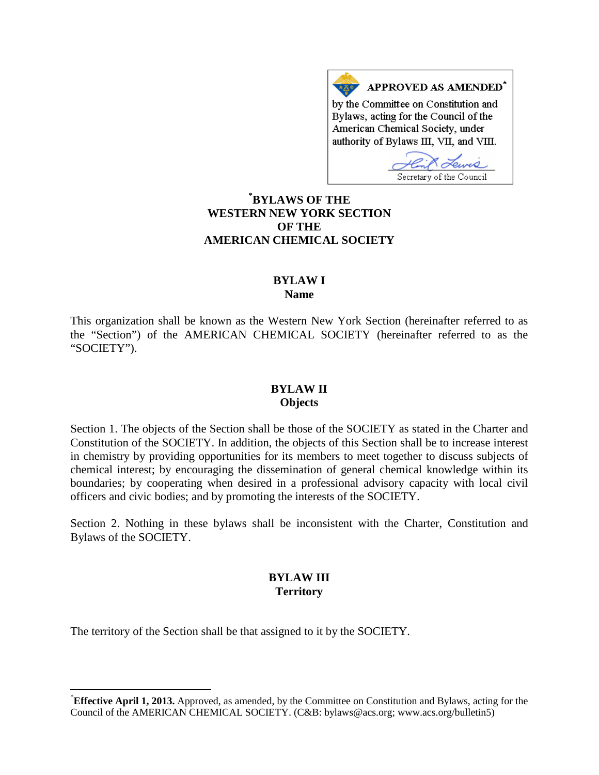APPROVED AS AMENDED<sup>\*</sup> by the Committee on Constitution and Bylaws, acting for the Council of the American Chemical Society, under authority of Bylaws III, VII, and VIII.

Secretary of the Council

# **[\\*](#page-0-0) BYLAWS OF THE WESTERN NEW YORK SECTION OF THE AMERICAN CHEMICAL SOCIETY**

## **BYLAW I Name**

This organization shall be known as the Western New York Section (hereinafter referred to as the "Section") of the AMERICAN CHEMICAL SOCIETY (hereinafter referred to as the "SOCIETY").

### **BYLAW II Objects**

Section 1. The objects of the Section shall be those of the SOCIETY as stated in the Charter and Constitution of the SOCIETY. In addition, the objects of this Section shall be to increase interest in chemistry by providing opportunities for its members to meet together to discuss subjects of chemical interest; by encouraging the dissemination of general chemical knowledge within its boundaries; by cooperating when desired in a professional advisory capacity with local civil officers and civic bodies; and by promoting the interests of the SOCIETY.

Section 2. Nothing in these bylaws shall be inconsistent with the Charter, Constitution and Bylaws of the SOCIETY.

## **BYLAW III Territory**

The territory of the Section shall be that assigned to it by the SOCIETY.

<span id="page-0-0"></span> <sup>\*</sup> **Effective April 1, 2013.** Approved, as amended, by the Committee on Constitution and Bylaws, acting for the Council of the AMERICAN CHEMICAL SOCIETY. (C&B: bylaws@acs.org; www.acs.org/bulletin5)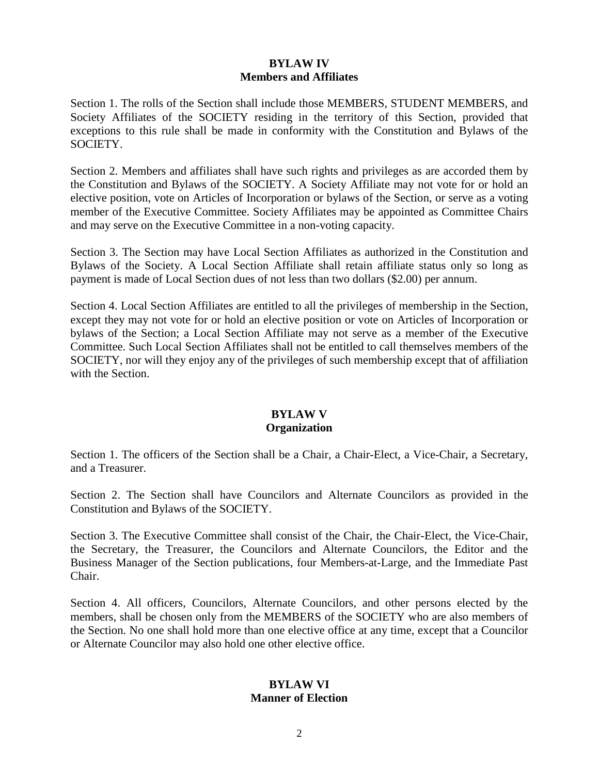## **BYLAW IV Members and Affiliates**

Section 1. The rolls of the Section shall include those MEMBERS, STUDENT MEMBERS, and Society Affiliates of the SOCIETY residing in the territory of this Section, provided that exceptions to this rule shall be made in conformity with the Constitution and Bylaws of the SOCIETY.

Section 2. Members and affiliates shall have such rights and privileges as are accorded them by the Constitution and Bylaws of the SOCIETY. A Society Affiliate may not vote for or hold an elective position, vote on Articles of Incorporation or bylaws of the Section, or serve as a voting member of the Executive Committee. Society Affiliates may be appointed as Committee Chairs and may serve on the Executive Committee in a non-voting capacity.

Section 3. The Section may have Local Section Affiliates as authorized in the Constitution and Bylaws of the Society. A Local Section Affiliate shall retain affiliate status only so long as payment is made of Local Section dues of not less than two dollars (\$2.00) per annum.

Section 4. Local Section Affiliates are entitled to all the privileges of membership in the Section, except they may not vote for or hold an elective position or vote on Articles of Incorporation or bylaws of the Section; a Local Section Affiliate may not serve as a member of the Executive Committee. Such Local Section Affiliates shall not be entitled to call themselves members of the SOCIETY, nor will they enjoy any of the privileges of such membership except that of affiliation with the Section.

# **BYLAW V Organization**

Section 1. The officers of the Section shall be a Chair, a Chair-Elect, a Vice-Chair, a Secretary, and a Treasurer.

Section 2. The Section shall have Councilors and Alternate Councilors as provided in the Constitution and Bylaws of the SOCIETY.

Section 3. The Executive Committee shall consist of the Chair, the Chair-Elect, the Vice-Chair, the Secretary, the Treasurer, the Councilors and Alternate Councilors, the Editor and the Business Manager of the Section publications, four Members-at-Large, and the Immediate Past Chair.

Section 4. All officers, Councilors, Alternate Councilors, and other persons elected by the members, shall be chosen only from the MEMBERS of the SOCIETY who are also members of the Section. No one shall hold more than one elective office at any time, except that a Councilor or Alternate Councilor may also hold one other elective office.

# **BYLAW VI Manner of Election**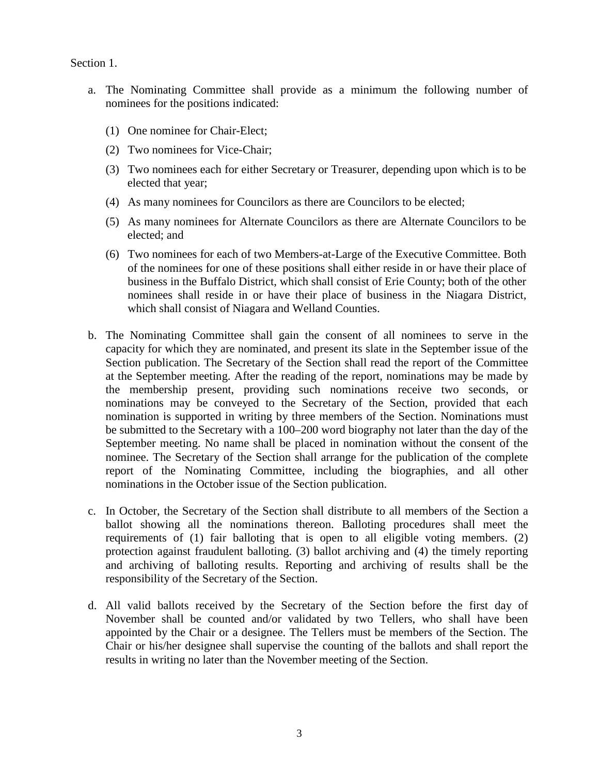Section 1.

- a. The Nominating Committee shall provide as a minimum the following number of nominees for the positions indicated:
	- (1) One nominee for Chair-Elect;
	- (2) Two nominees for Vice-Chair;
	- (3) Two nominees each for either Secretary or Treasurer, depending upon which is to be elected that year;
	- (4) As many nominees for Councilors as there are Councilors to be elected;
	- (5) As many nominees for Alternate Councilors as there are Alternate Councilors to be elected; and
	- (6) Two nominees for each of two Members-at-Large of the Executive Committee. Both of the nominees for one of these positions shall either reside in or have their place of business in the Buffalo District, which shall consist of Erie County; both of the other nominees shall reside in or have their place of business in the Niagara District, which shall consist of Niagara and Welland Counties.
- b. The Nominating Committee shall gain the consent of all nominees to serve in the capacity for which they are nominated, and present its slate in the September issue of the Section publication. The Secretary of the Section shall read the report of the Committee at the September meeting. After the reading of the report, nominations may be made by the membership present, providing such nominations receive two seconds, or nominations may be conveyed to the Secretary of the Section, provided that each nomination is supported in writing by three members of the Section. Nominations must be submitted to the Secretary with a 100–200 word biography not later than the day of the September meeting. No name shall be placed in nomination without the consent of the nominee. The Secretary of the Section shall arrange for the publication of the complete report of the Nominating Committee, including the biographies, and all other nominations in the October issue of the Section publication.
- c. In October, the Secretary of the Section shall distribute to all members of the Section a ballot showing all the nominations thereon. Balloting procedures shall meet the requirements of (1) fair balloting that is open to all eligible voting members. (2) protection against fraudulent balloting. (3) ballot archiving and (4) the timely reporting and archiving of balloting results. Reporting and archiving of results shall be the responsibility of the Secretary of the Section.
- d. All valid ballots received by the Secretary of the Section before the first day of November shall be counted and/or validated by two Tellers, who shall have been appointed by the Chair or a designee. The Tellers must be members of the Section. The Chair or his/her designee shall supervise the counting of the ballots and shall report the results in writing no later than the November meeting of the Section.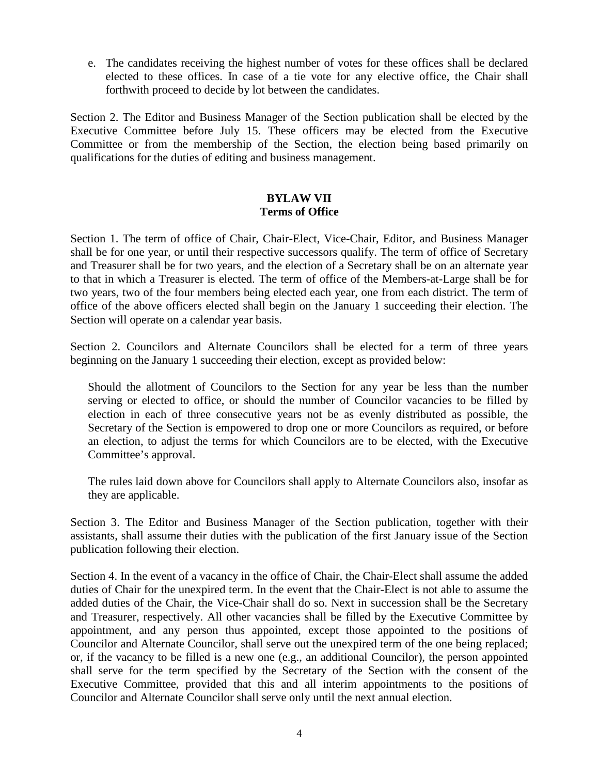e. The candidates receiving the highest number of votes for these offices shall be declared elected to these offices. In case of a tie vote for any elective office, the Chair shall forthwith proceed to decide by lot between the candidates.

Section 2. The Editor and Business Manager of the Section publication shall be elected by the Executive Committee before July 15. These officers may be elected from the Executive Committee or from the membership of the Section, the election being based primarily on qualifications for the duties of editing and business management.

# **BYLAW VII Terms of Office**

Section 1. The term of office of Chair, Chair-Elect, Vice-Chair, Editor, and Business Manager shall be for one year, or until their respective successors qualify. The term of office of Secretary and Treasurer shall be for two years, and the election of a Secretary shall be on an alternate year to that in which a Treasurer is elected. The term of office of the Members-at-Large shall be for two years, two of the four members being elected each year, one from each district. The term of office of the above officers elected shall begin on the January 1 succeeding their election. The Section will operate on a calendar year basis.

Section 2. Councilors and Alternate Councilors shall be elected for a term of three years beginning on the January 1 succeeding their election, except as provided below:

Should the allotment of Councilors to the Section for any year be less than the number serving or elected to office, or should the number of Councilor vacancies to be filled by election in each of three consecutive years not be as evenly distributed as possible, the Secretary of the Section is empowered to drop one or more Councilors as required, or before an election, to adjust the terms for which Councilors are to be elected, with the Executive Committee's approval.

The rules laid down above for Councilors shall apply to Alternate Councilors also, insofar as they are applicable.

Section 3. The Editor and Business Manager of the Section publication, together with their assistants, shall assume their duties with the publication of the first January issue of the Section publication following their election.

Section 4. In the event of a vacancy in the office of Chair, the Chair-Elect shall assume the added duties of Chair for the unexpired term. In the event that the Chair-Elect is not able to assume the added duties of the Chair, the Vice-Chair shall do so. Next in succession shall be the Secretary and Treasurer, respectively. All other vacancies shall be filled by the Executive Committee by appointment, and any person thus appointed, except those appointed to the positions of Councilor and Alternate Councilor, shall serve out the unexpired term of the one being replaced; or, if the vacancy to be filled is a new one (e.g., an additional Councilor), the person appointed shall serve for the term specified by the Secretary of the Section with the consent of the Executive Committee, provided that this and all interim appointments to the positions of Councilor and Alternate Councilor shall serve only until the next annual election.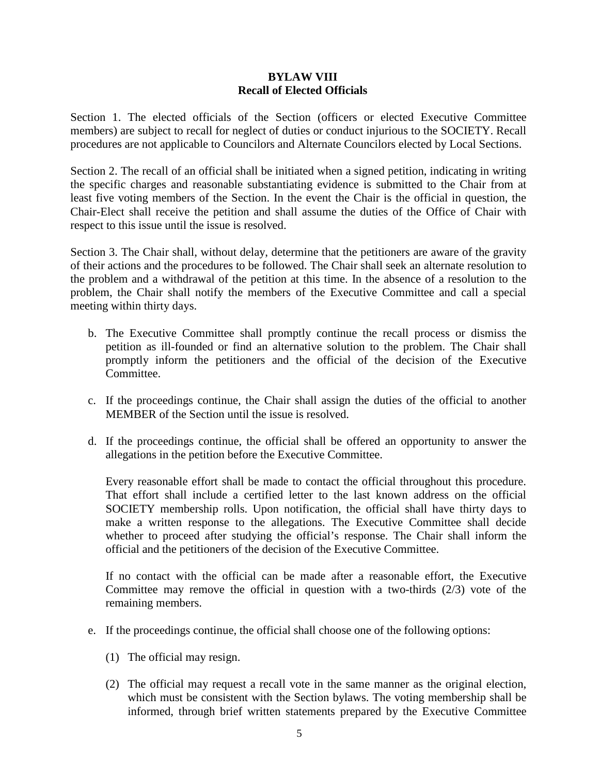## **BYLAW VIII Recall of Elected Officials**

Section 1. The elected officials of the Section (officers or elected Executive Committee members) are subject to recall for neglect of duties or conduct injurious to the SOCIETY. Recall procedures are not applicable to Councilors and Alternate Councilors elected by Local Sections.

Section 2. The recall of an official shall be initiated when a signed petition, indicating in writing the specific charges and reasonable substantiating evidence is submitted to the Chair from at least five voting members of the Section. In the event the Chair is the official in question, the Chair-Elect shall receive the petition and shall assume the duties of the Office of Chair with respect to this issue until the issue is resolved.

Section 3. The Chair shall, without delay, determine that the petitioners are aware of the gravity of their actions and the procedures to be followed. The Chair shall seek an alternate resolution to the problem and a withdrawal of the petition at this time. In the absence of a resolution to the problem, the Chair shall notify the members of the Executive Committee and call a special meeting within thirty days.

- b. The Executive Committee shall promptly continue the recall process or dismiss the petition as ill-founded or find an alternative solution to the problem. The Chair shall promptly inform the petitioners and the official of the decision of the Executive Committee.
- c. If the proceedings continue, the Chair shall assign the duties of the official to another MEMBER of the Section until the issue is resolved.
- d. If the proceedings continue, the official shall be offered an opportunity to answer the allegations in the petition before the Executive Committee.

Every reasonable effort shall be made to contact the official throughout this procedure. That effort shall include a certified letter to the last known address on the official SOCIETY membership rolls. Upon notification, the official shall have thirty days to make a written response to the allegations. The Executive Committee shall decide whether to proceed after studying the official's response. The Chair shall inform the official and the petitioners of the decision of the Executive Committee.

If no contact with the official can be made after a reasonable effort, the Executive Committee may remove the official in question with a two-thirds  $(2/3)$  vote of the remaining members.

- e. If the proceedings continue, the official shall choose one of the following options:
	- (1) The official may resign.
	- (2) The official may request a recall vote in the same manner as the original election, which must be consistent with the Section bylaws. The voting membership shall be informed, through brief written statements prepared by the Executive Committee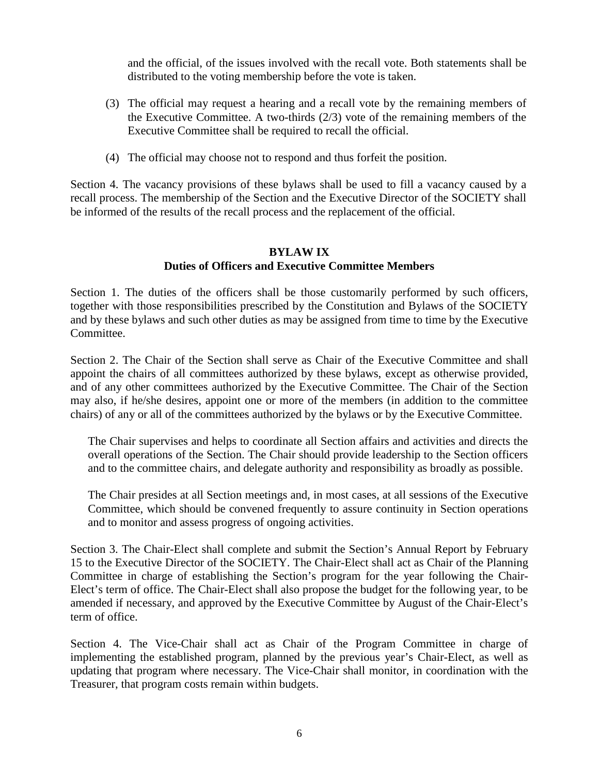and the official, of the issues involved with the recall vote. Both statements shall be distributed to the voting membership before the vote is taken.

- (3) The official may request a hearing and a recall vote by the remaining members of the Executive Committee. A two-thirds (2/3) vote of the remaining members of the Executive Committee shall be required to recall the official.
- (4) The official may choose not to respond and thus forfeit the position.

Section 4. The vacancy provisions of these bylaws shall be used to fill a vacancy caused by a recall process. The membership of the Section and the Executive Director of the SOCIETY shall be informed of the results of the recall process and the replacement of the official.

# **BYLAW IX Duties of Officers and Executive Committee Members**

Section 1. The duties of the officers shall be those customarily performed by such officers, together with those responsibilities prescribed by the Constitution and Bylaws of the SOCIETY and by these bylaws and such other duties as may be assigned from time to time by the Executive Committee.

Section 2. The Chair of the Section shall serve as Chair of the Executive Committee and shall appoint the chairs of all committees authorized by these bylaws, except as otherwise provided, and of any other committees authorized by the Executive Committee. The Chair of the Section may also, if he/she desires, appoint one or more of the members (in addition to the committee chairs) of any or all of the committees authorized by the bylaws or by the Executive Committee.

The Chair supervises and helps to coordinate all Section affairs and activities and directs the overall operations of the Section. The Chair should provide leadership to the Section officers and to the committee chairs, and delegate authority and responsibility as broadly as possible.

The Chair presides at all Section meetings and, in most cases, at all sessions of the Executive Committee, which should be convened frequently to assure continuity in Section operations and to monitor and assess progress of ongoing activities.

Section 3. The Chair-Elect shall complete and submit the Section's Annual Report by February 15 to the Executive Director of the SOCIETY. The Chair-Elect shall act as Chair of the Planning Committee in charge of establishing the Section's program for the year following the Chair-Elect's term of office. The Chair-Elect shall also propose the budget for the following year, to be amended if necessary, and approved by the Executive Committee by August of the Chair-Elect's term of office.

Section 4. The Vice-Chair shall act as Chair of the Program Committee in charge of implementing the established program, planned by the previous year's Chair-Elect, as well as updating that program where necessary. The Vice-Chair shall monitor, in coordination with the Treasurer, that program costs remain within budgets.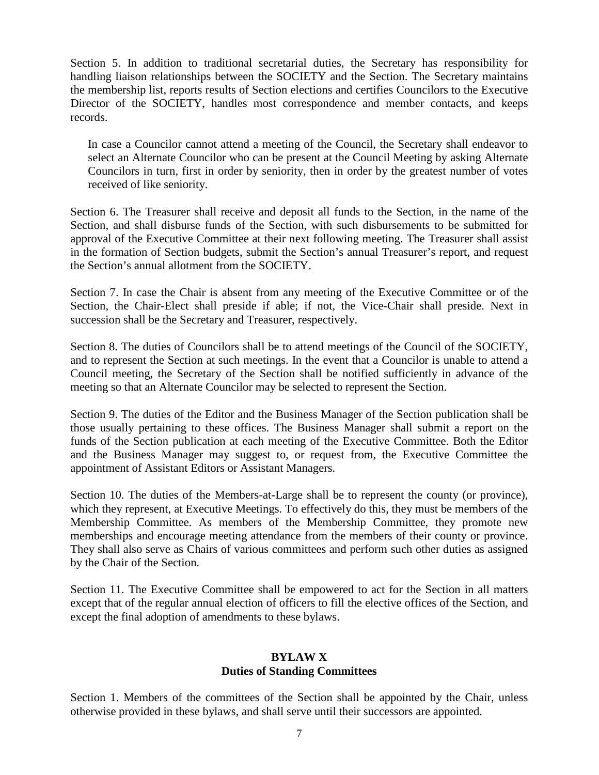Section 5. In addition to traditional secretarial duties, the Secretary has responsibility for handling liaison relationships between the SOCIETY and the Section. The Secretary maintains the membership list, reports results of Section elections and certifies Councilors to the Executive Director of the SOCIETY, handles most correspondence and member contacts, and keeps records.

In case a Councilor cannot attend a meeting of the Council, the Secretary shall endeavor to select an Alternate Councilor who can be present at the Council Meeting by asking Alternate Councilors in turn, first in order by seniority, then in order by the greatest number of votes received of like seniority.

Section 6. The Treasurer shall receive and deposit all funds to the Section, in the name of the Section, and shall disburse funds of the Section, with such disbursements to be submitted for approval of the Executive Committee at their next following meeting. The Treasurer shall assist in the formation of Section budgets, submit the Section's annual Treasurer's report, and request the Section's annual allotment from the SOCIETY.

Section 7. In case the Chair is absent from any meeting of the Executive Committee or of the Section, the Chair-Elect shall preside if able; if not, the Vice-Chair shall preside. Next in succession shall be the Secretary and Treasurer, respectively.

Section 8. The duties of Councilors shall be to attend meetings of the Council of the SOCIETY, and to represent the Section at such meetings. In the event that a Councilor is unable to attend a Council meeting, the Secretary of the Section shall be notified sufficiently in advance of the meeting so that an Alternate Councilor may be selected to represent the Section.

Section 9. The duties of the Editor and the Business Manager of the Section publication shall be those usually pertaining to these offices. The Business Manager shall submit a report on the funds of the Section publication at each meeting of the Executive Committee. Both the Editor and the Business Manager may suggest to, or request from, the Executive Committee the appointment of Assistant Editors or Assistant Managers.

Section 10. The duties of the Members-at-Large shall be to represent the county (or province), which they represent, at Executive Meetings. To effectively do this, they must be members of the Membership Committee. As members of the Membership Committee, they promote new memberships and encourage meeting attendance from the members of their county or province. They shall also serve as Chairs of various committees and perform such other duties as assigned by the Chair of the Section.

Section 11. The Executive Committee shall be empowered to act for the Section in all matters except that of the regular annual election of officers to fill the elective offices of the Section, and except the final adoption of amendments to these bylaws.

## **BYLAW X Duties of Standing Committees**

Section 1. Members of the committees of the Section shall be appointed by the Chair, unless otherwise provided in these bylaws, and shall serve until their successors are appointed.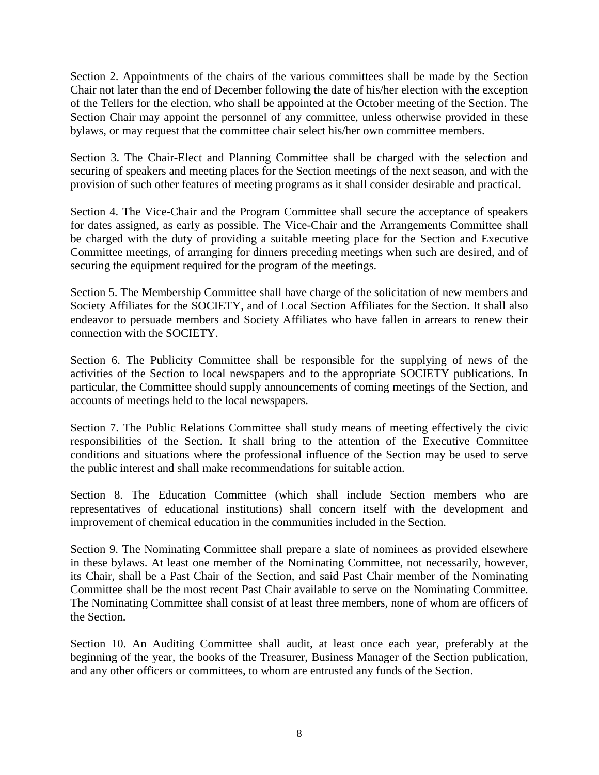Section 2. Appointments of the chairs of the various committees shall be made by the Section Chair not later than the end of December following the date of his/her election with the exception of the Tellers for the election, who shall be appointed at the October meeting of the Section. The Section Chair may appoint the personnel of any committee, unless otherwise provided in these bylaws, or may request that the committee chair select his/her own committee members.

Section 3. The Chair-Elect and Planning Committee shall be charged with the selection and securing of speakers and meeting places for the Section meetings of the next season, and with the provision of such other features of meeting programs as it shall consider desirable and practical.

Section 4. The Vice-Chair and the Program Committee shall secure the acceptance of speakers for dates assigned, as early as possible. The Vice-Chair and the Arrangements Committee shall be charged with the duty of providing a suitable meeting place for the Section and Executive Committee meetings, of arranging for dinners preceding meetings when such are desired, and of securing the equipment required for the program of the meetings.

Section 5. The Membership Committee shall have charge of the solicitation of new members and Society Affiliates for the SOCIETY, and of Local Section Affiliates for the Section. It shall also endeavor to persuade members and Society Affiliates who have fallen in arrears to renew their connection with the SOCIETY.

Section 6. The Publicity Committee shall be responsible for the supplying of news of the activities of the Section to local newspapers and to the appropriate SOCIETY publications. In particular, the Committee should supply announcements of coming meetings of the Section, and accounts of meetings held to the local newspapers.

Section 7. The Public Relations Committee shall study means of meeting effectively the civic responsibilities of the Section. It shall bring to the attention of the Executive Committee conditions and situations where the professional influence of the Section may be used to serve the public interest and shall make recommendations for suitable action.

Section 8. The Education Committee (which shall include Section members who are representatives of educational institutions) shall concern itself with the development and improvement of chemical education in the communities included in the Section.

Section 9. The Nominating Committee shall prepare a slate of nominees as provided elsewhere in these bylaws. At least one member of the Nominating Committee, not necessarily, however, its Chair, shall be a Past Chair of the Section, and said Past Chair member of the Nominating Committee shall be the most recent Past Chair available to serve on the Nominating Committee. The Nominating Committee shall consist of at least three members, none of whom are officers of the Section.

Section 10. An Auditing Committee shall audit, at least once each year, preferably at the beginning of the year, the books of the Treasurer, Business Manager of the Section publication, and any other officers or committees, to whom are entrusted any funds of the Section.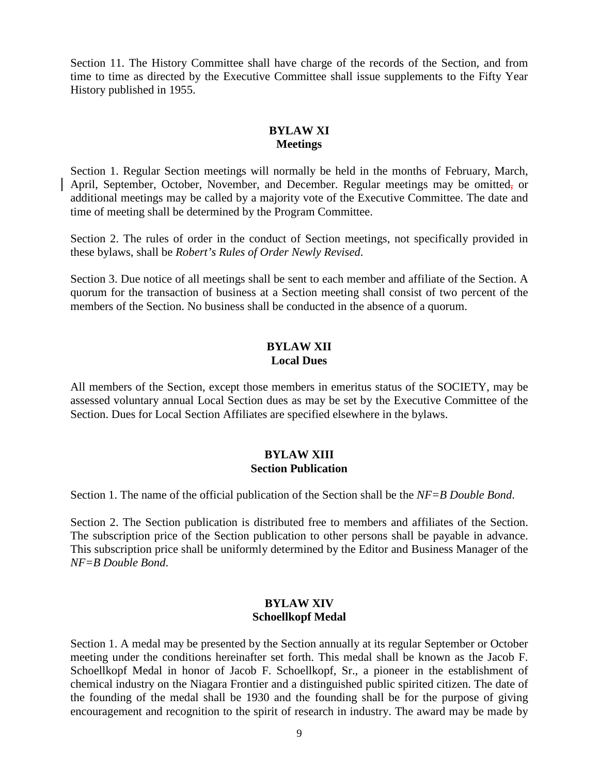Section 11. The History Committee shall have charge of the records of the Section, and from time to time as directed by the Executive Committee shall issue supplements to the Fifty Year History published in 1955.

# **BYLAW XI Meetings**

Section 1. Regular Section meetings will normally be held in the months of February, March, April, September, October, November, and December. Regular meetings may be omitted, or additional meetings may be called by a majority vote of the Executive Committee. The date and time of meeting shall be determined by the Program Committee.

Section 2. The rules of order in the conduct of Section meetings, not specifically provided in these bylaws, shall be *Robert's Rules of Order Newly Revised*.

Section 3. Due notice of all meetings shall be sent to each member and affiliate of the Section. A quorum for the transaction of business at a Section meeting shall consist of two percent of the members of the Section. No business shall be conducted in the absence of a quorum.

# **BYLAW XII Local Dues**

All members of the Section, except those members in emeritus status of the SOCIETY, may be assessed voluntary annual Local Section dues as may be set by the Executive Committee of the Section. Dues for Local Section Affiliates are specified elsewhere in the bylaws.

# **BYLAW XIII Section Publication**

Section 1. The name of the official publication of the Section shall be the *NF=B Double Bond*.

Section 2. The Section publication is distributed free to members and affiliates of the Section. The subscription price of the Section publication to other persons shall be payable in advance. This subscription price shall be uniformly determined by the Editor and Business Manager of the *NF=B Double Bond*.

### **BYLAW XIV Schoellkopf Medal**

Section 1. A medal may be presented by the Section annually at its regular September or October meeting under the conditions hereinafter set forth. This medal shall be known as the Jacob F. Schoellkopf Medal in honor of Jacob F. Schoellkopf, Sr., a pioneer in the establishment of chemical industry on the Niagara Frontier and a distinguished public spirited citizen. The date of the founding of the medal shall be 1930 and the founding shall be for the purpose of giving encouragement and recognition to the spirit of research in industry. The award may be made by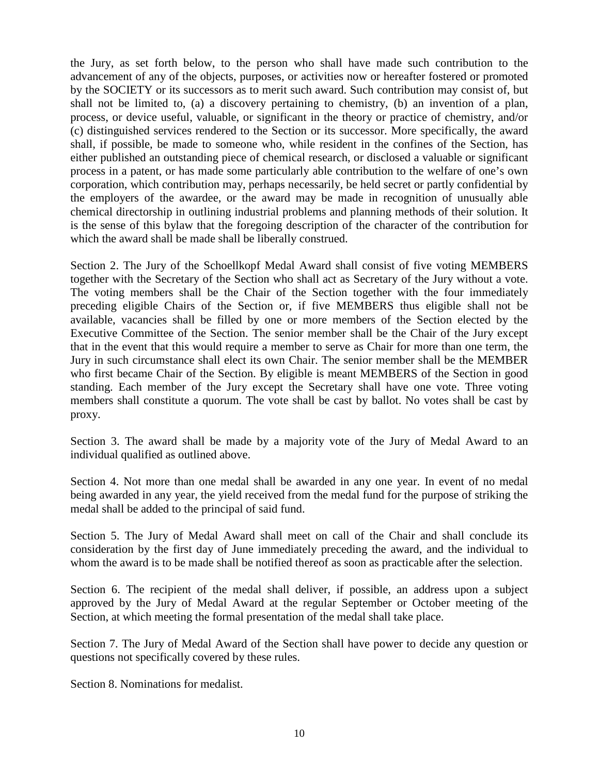the Jury, as set forth below, to the person who shall have made such contribution to the advancement of any of the objects, purposes, or activities now or hereafter fostered or promoted by the SOCIETY or its successors as to merit such award. Such contribution may consist of, but shall not be limited to, (a) a discovery pertaining to chemistry, (b) an invention of a plan, process, or device useful, valuable, or significant in the theory or practice of chemistry, and/or (c) distinguished services rendered to the Section or its successor. More specifically, the award shall, if possible, be made to someone who, while resident in the confines of the Section, has either published an outstanding piece of chemical research, or disclosed a valuable or significant process in a patent, or has made some particularly able contribution to the welfare of one's own corporation, which contribution may, perhaps necessarily, be held secret or partly confidential by the employers of the awardee, or the award may be made in recognition of unusually able chemical directorship in outlining industrial problems and planning methods of their solution. It is the sense of this bylaw that the foregoing description of the character of the contribution for which the award shall be made shall be liberally construed.

Section 2. The Jury of the Schoellkopf Medal Award shall consist of five voting MEMBERS together with the Secretary of the Section who shall act as Secretary of the Jury without a vote. The voting members shall be the Chair of the Section together with the four immediately preceding eligible Chairs of the Section or, if five MEMBERS thus eligible shall not be available, vacancies shall be filled by one or more members of the Section elected by the Executive Committee of the Section. The senior member shall be the Chair of the Jury except that in the event that this would require a member to serve as Chair for more than one term, the Jury in such circumstance shall elect its own Chair. The senior member shall be the MEMBER who first became Chair of the Section. By eligible is meant MEMBERS of the Section in good standing. Each member of the Jury except the Secretary shall have one vote. Three voting members shall constitute a quorum. The vote shall be cast by ballot. No votes shall be cast by proxy.

Section 3. The award shall be made by a majority vote of the Jury of Medal Award to an individual qualified as outlined above.

Section 4. Not more than one medal shall be awarded in any one year. In event of no medal being awarded in any year, the yield received from the medal fund for the purpose of striking the medal shall be added to the principal of said fund.

Section 5. The Jury of Medal Award shall meet on call of the Chair and shall conclude its consideration by the first day of June immediately preceding the award, and the individual to whom the award is to be made shall be notified thereof as soon as practicable after the selection.

Section 6. The recipient of the medal shall deliver, if possible, an address upon a subject approved by the Jury of Medal Award at the regular September or October meeting of the Section, at which meeting the formal presentation of the medal shall take place.

Section 7. The Jury of Medal Award of the Section shall have power to decide any question or questions not specifically covered by these rules.

Section 8. Nominations for medalist.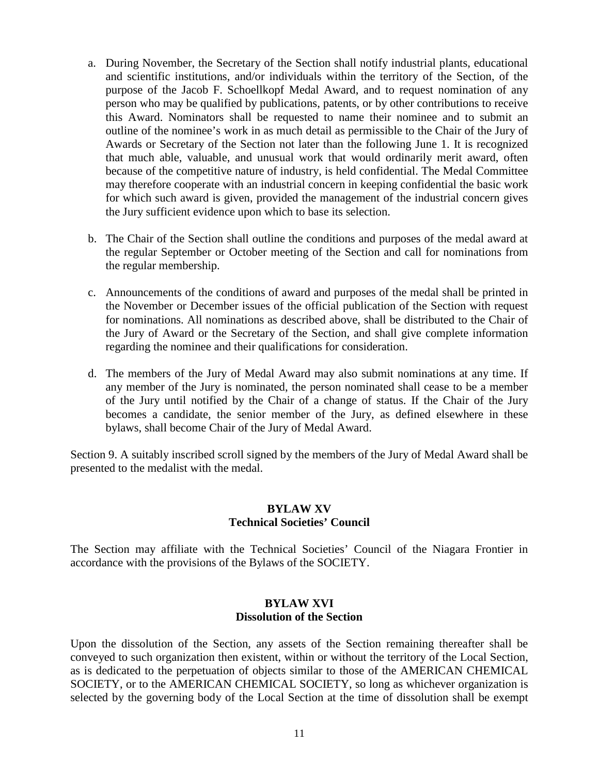- a. During November, the Secretary of the Section shall notify industrial plants, educational and scientific institutions, and/or individuals within the territory of the Section, of the purpose of the Jacob F. Schoellkopf Medal Award, and to request nomination of any person who may be qualified by publications, patents, or by other contributions to receive this Award. Nominators shall be requested to name their nominee and to submit an outline of the nominee's work in as much detail as permissible to the Chair of the Jury of Awards or Secretary of the Section not later than the following June 1. It is recognized that much able, valuable, and unusual work that would ordinarily merit award, often because of the competitive nature of industry, is held confidential. The Medal Committee may therefore cooperate with an industrial concern in keeping confidential the basic work for which such award is given, provided the management of the industrial concern gives the Jury sufficient evidence upon which to base its selection.
- b. The Chair of the Section shall outline the conditions and purposes of the medal award at the regular September or October meeting of the Section and call for nominations from the regular membership.
- c. Announcements of the conditions of award and purposes of the medal shall be printed in the November or December issues of the official publication of the Section with request for nominations. All nominations as described above, shall be distributed to the Chair of the Jury of Award or the Secretary of the Section, and shall give complete information regarding the nominee and their qualifications for consideration.
- d. The members of the Jury of Medal Award may also submit nominations at any time. If any member of the Jury is nominated, the person nominated shall cease to be a member of the Jury until notified by the Chair of a change of status. If the Chair of the Jury becomes a candidate, the senior member of the Jury, as defined elsewhere in these bylaws, shall become Chair of the Jury of Medal Award.

Section 9. A suitably inscribed scroll signed by the members of the Jury of Medal Award shall be presented to the medalist with the medal.

# **BYLAW XV Technical Societies' Council**

The Section may affiliate with the Technical Societies' Council of the Niagara Frontier in accordance with the provisions of the Bylaws of the SOCIETY.

## **BYLAW XVI Dissolution of the Section**

Upon the dissolution of the Section, any assets of the Section remaining thereafter shall be conveyed to such organization then existent, within or without the territory of the Local Section, as is dedicated to the perpetuation of objects similar to those of the AMERICAN CHEMICAL SOCIETY, or to the AMERICAN CHEMICAL SOCIETY, so long as whichever organization is selected by the governing body of the Local Section at the time of dissolution shall be exempt